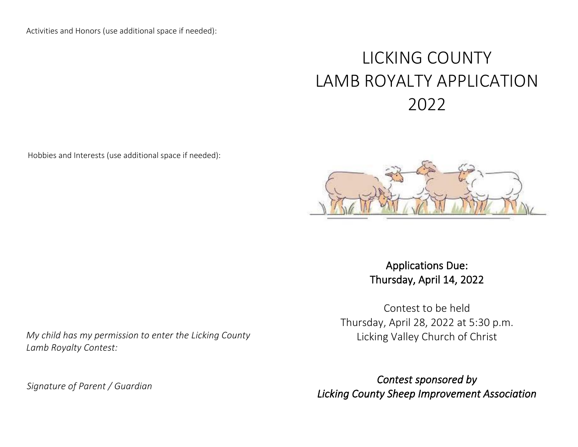Activities and Honors (use additional space if needed):

## LICKING COUNTY LAMB ROYALTY APPLICATION 2022

Hobbies and Interests (use additional space if needed):



Applications Due: Thursday, April 14, 2022

Contest to be held Thursday, April 28, 2022 at 5:30 p.m. Licking Valley Church of Christ

*Contest sponsored by Licking County Sheep Improvement Association*

*My child has my permission to enter the Licking County Lamb Royalty Contest:*

*Signature of Parent / Guardian*